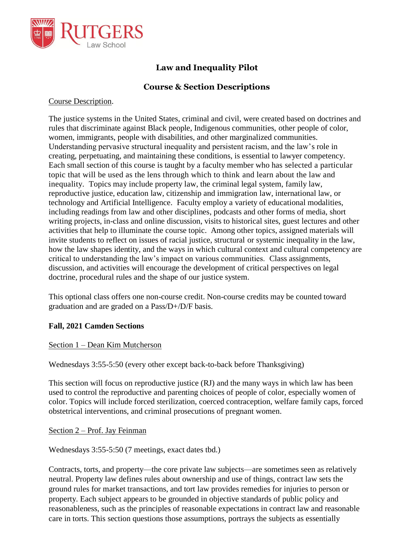

# **Law and Inequality Pilot**

# **Course & Section Descriptions**

### Course Description.

The justice systems in the United States, criminal and civil, were created based on doctrines and rules that discriminate against Black people, Indigenous communities, other people of color, women, immigrants, people with disabilities, and other marginalized communities. Understanding pervasive structural inequality and persistent racism, and the law's role in creating, perpetuating, and maintaining these conditions, is essential to lawyer competency. Each small section of this course is taught by a faculty member who has selected a particular topic that will be used as the lens through which to think and learn about the law and inequality. Topics may include property law, the criminal legal system, family law, reproductive justice, education law, citizenship and immigration law, international law, or technology and Artificial Intelligence. Faculty employ a variety of educational modalities, including readings from law and other disciplines, podcasts and other forms of media, short writing projects, in-class and online discussion, visits to historical sites, guest lectures and other activities that help to illuminate the course topic. Among other topics, assigned materials will invite students to reflect on issues of racial justice, structural or systemic inequality in the law, how the law shapes identity, and the ways in which cultural context and cultural competency are critical to understanding the law's impact on various communities. Class assignments, discussion, and activities will encourage the development of critical perspectives on legal doctrine, procedural rules and the shape of our justice system.

This optional class offers one non-course credit. Non-course credits may be counted toward graduation and are graded on a Pass/D+/D/F basis.

# **Fall, 2021 Camden Sections**

# Section 1 – Dean Kim Mutcherson

Wednesdays 3:55-5:50 (every other except back-to-back before Thanksgiving)

This section will focus on reproductive justice (RJ) and the many ways in which law has been used to control the reproductive and parenting choices of people of color, especially women of color. Topics will include forced sterilization, coerced contraception, welfare family caps, forced obstetrical interventions, and criminal prosecutions of pregnant women.

#### Section 2 – Prof. Jay Feinman

Wednesdays 3:55-5:50 (7 meetings, exact dates tbd.)

Contracts, torts, and property—the core private law subjects—are sometimes seen as relatively neutral. Property law defines rules about ownership and use of things, contract law sets the ground rules for market transactions, and tort law provides remedies for injuries to person or property. Each subject appears to be grounded in objective standards of public policy and reasonableness, such as the principles of reasonable expectations in contract law and reasonable care in torts. This section questions those assumptions, portrays the subjects as essentially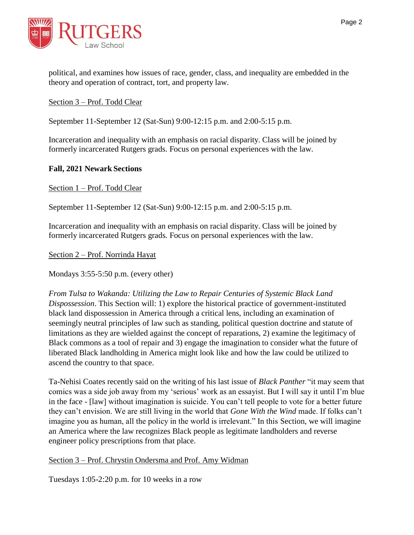

political, and examines how issues of race, gender, class, and inequality are embedded in the theory and operation of contract, tort, and property law.

Section 3 – Prof. Todd Clear

September 11-September 12 (Sat-Sun) 9:00-12:15 p.m. and 2:00-5:15 p.m.

Incarceration and inequality with an emphasis on racial disparity. Class will be joined by formerly incarcerated Rutgers grads. Focus on personal experiences with the law.

#### **Fall, 2021 Newark Sections**

Section 1 – Prof. Todd Clear

September 11-September 12 (Sat-Sun) 9:00-12:15 p.m. and 2:00-5:15 p.m.

Incarceration and inequality with an emphasis on racial disparity. Class will be joined by formerly incarcerated Rutgers grads. Focus on personal experiences with the law.

Section 2 – Prof. Norrinda Hayat

Mondays 3:55-5:50 p.m. (every other)

*From Tulsa to Wakanda: Utilizing the Law to Repair Centuries of Systemic Black Land Dispossession*. This Section will: 1) explore the historical practice of government-instituted black land dispossession in America through a critical lens, including an examination of seemingly neutral principles of law such as standing, political question doctrine and statute of limitations as they are wielded against the concept of reparations, 2) examine the legitimacy of Black commons as a tool of repair and 3) engage the imagination to consider what the future of liberated Black landholding in America might look like and how the law could be utilized to ascend the country to that space.

Ta-Nehisi Coates recently said on the writing of his last issue of *Black Panther* "it may seem that comics was a side job away from my 'serious' work as an essayist. But I will say it until I'm blue in the face - [law] without imagination is suicide. You can't tell people to vote for a better future they can't envision. We are still living in the world that *Gone With the Wind* made. If folks can't imagine you as human, all the policy in the world is irrelevant." In this Section, we will imagine an America where the law recognizes Black people as legitimate landholders and reverse engineer policy prescriptions from that place.

# Section 3 – Prof. Chrystin Ondersma and Prof. Amy Widman

Tuesdays 1:05-2:20 p.m. for 10 weeks in a row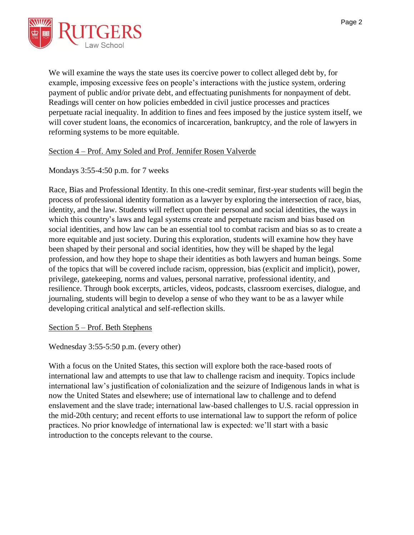

We will examine the ways the state uses its coercive power to collect alleged debt by, for example, imposing excessive fees on people's interactions with the justice system, ordering payment of public and/or private debt, and effectuating punishments for nonpayment of debt. Readings will center on how policies embedded in civil justice processes and practices perpetuate racial inequality. In addition to fines and fees imposed by the justice system itself, we will cover student loans, the economics of incarceration, bankruptcy, and the role of lawyers in reforming systems to be more equitable.

#### Section 4 – Prof. Amy Soled and Prof. Jennifer Rosen Valverde

# Mondays 3:55-4:50 p.m. for 7 weeks

Race, Bias and Professional Identity. In this one-credit seminar, first-year students will begin the process of professional identity formation as a lawyer by exploring the intersection of race, bias, identity, and the law. Students will reflect upon their personal and social identities, the ways in which this country's laws and legal systems create and perpetuate racism and bias based on social identities, and how law can be an essential tool to combat racism and bias so as to create a more equitable and just society. During this exploration, students will examine how they have been shaped by their personal and social identities, how they will be shaped by the legal profession, and how they hope to shape their identities as both lawyers and human beings. Some of the topics that will be covered include racism, oppression, bias (explicit and implicit), power, privilege, gatekeeping, norms and values, personal narrative, professional identity, and resilience. Through book excerpts, articles, videos, podcasts, classroom exercises, dialogue, and journaling, students will begin to develop a sense of who they want to be as a lawyer while developing critical analytical and self-reflection skills.

#### Section 5 – Prof. Beth Stephens

Wednesday 3:55-5:50 p.m. (every other)

With a focus on the United States, this section will explore both the race-based roots of international law and attempts to use that law to challenge racism and inequity. Topics include international law's justification of colonialization and the seizure of Indigenous lands in what is now the United States and elsewhere; use of international law to challenge and to defend enslavement and the slave trade; international law-based challenges to U.S. racial oppression in the mid-20th century; and recent efforts to use international law to support the reform of police practices. No prior knowledge of international law is expected: we'll start with a basic introduction to the concepts relevant to the course.